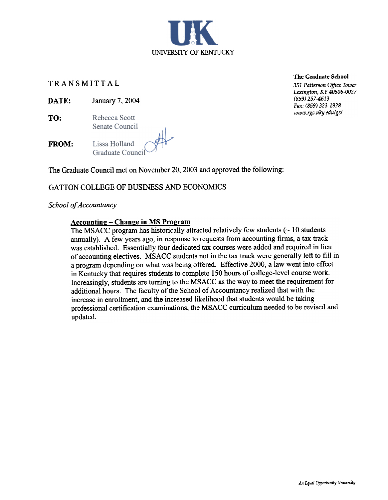

## TRANSMITTAL

- DATE: January 7, 2004
- TO: Rebecca Scott Senate Council

Lissa Holland FROM: Graduate Counci

The Graduate Council met on November 20, 2003 and approved the following:

# GATTON COLLEGE OF BUSINESS AND ECONOMICS

School of Accountancy

#### Accounting - Change in MS Program

The MSACC program has historically attracted relatively few students  $($   $\sim$  10 students annually). A few years ago, in response to requests from accounting firms, a tax track was established. Essentially four dedicated tax courses were added and required in lieu of accounting electives. MSACC students not in the tax track were generally left to fill in a program depending on what was being offered. Effective 2000, a law went into effect in Kentucky that requires students to complete 150 hours of college-level course work. Increasingly, students are turning to the MSACC as the way to meet the requirement for additional hours. The faculty of the School of Accountancy realized that with the increase in enrollment, and the increased likelihood that students would be taking professional certification examinations, the MSACC curriculum needed to be revised and updated.

The Graduate School

351 Patterson Office Tower Lexington, KY 40506-0027 (859) 257-4613 Fax: (859) 323-1928 www.rgs.uky.edu/gs/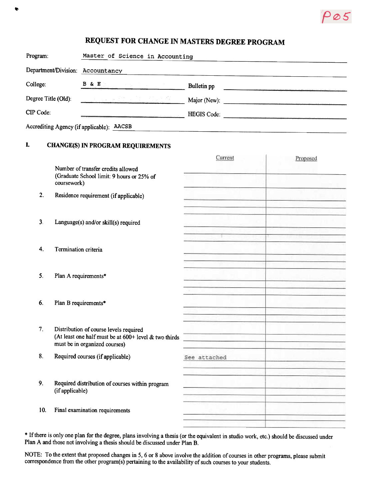# REQUEST FOR CHANGE IN MASTERS DEGREE PROGRAM

| Program:                                     | Master of Science in Accounting                                                            |                    |  |  |
|----------------------------------------------|--------------------------------------------------------------------------------------------|--------------------|--|--|
| Department/Division: Accountancy             |                                                                                            |                    |  |  |
| College:                                     | $\overline{B}$ & $\overline{E}$<br>of the Second Control                                   | Bulletin pp        |  |  |
| Degree Title (Old):                          | <u> Maria Alemania (h. 1958).</u><br>1900 - Johann British, margaretar amerikan (h. 1900). | Major (New):       |  |  |
| CIP Code:                                    |                                                                                            | <b>HEGIS</b> Code: |  |  |
| Accrediting Agency (if applicable):<br>AACSB |                                                                                            |                    |  |  |

# I. CHANGE(\$) IN PROGRAM REQUIREMENTS

..

|     |                                                                                                                                    | Current                                                                                                                                                                                                                              | Proposed |
|-----|------------------------------------------------------------------------------------------------------------------------------------|--------------------------------------------------------------------------------------------------------------------------------------------------------------------------------------------------------------------------------------|----------|
|     | Number of transfer credits allowed<br>(Graduate School limit: 9 hours or 25% of<br>coursework)                                     |                                                                                                                                                                                                                                      |          |
| 2.  | Residence requirement (if applicable)                                                                                              | <b>Contract Contract Contract Contract</b><br>a management of the state of the first                                                                                                                                                 |          |
| 3.  | Language(s) and/or skill(s) required                                                                                               |                                                                                                                                                                                                                                      |          |
| 4.  | Termination criteria                                                                                                               |                                                                                                                                                                                                                                      |          |
| 5.  | Plan A requirements*                                                                                                               |                                                                                                                                                                                                                                      |          |
| 6.  | Plan B requirements*                                                                                                               | <u>www.com and the direction of the second and the property of the second second and the second second and the second second second and second and second and second and second and second and second and second and second and </u> |          |
| 7.  | Distribution of course levels required<br>(At least one half must be at $600+$ level & two thirds<br>must be in organized courses) |                                                                                                                                                                                                                                      |          |
| 8.  | Required courses (if applicable)                                                                                                   | See attached<br>ya da tanggun da at sa s                                                                                                                                                                                             |          |
| 9.  | Required distribution of courses within program<br>(if applicable)                                                                 |                                                                                                                                                                                                                                      |          |
| 10. | Final examination requirements                                                                                                     |                                                                                                                                                                                                                                      |          |
|     |                                                                                                                                    |                                                                                                                                                                                                                                      |          |

\* If there is only one plan for the degree, plans involving a thesis (or the equivalent in studio work, etc.) should be discussed under Plan A and those not involving a thesis should be discussed under Plan B.

NOTE: To the extent that proposed changes in 5, 6 or 8 above involve the addition of courses in other programs, please submit correspondence from the other program(s) pertaining to the availability of such courses to your students.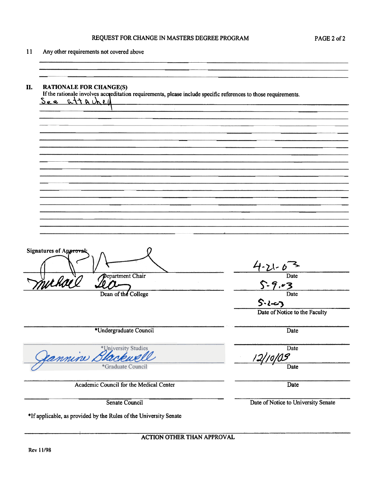#### REQUEST FOR CHANGE IN MASTERS DEGREE PROGRAM PAGE 2 of 2

11 Any other requirements not covered above

II. RATIONALE FOR CHANGE(S) If the rationale involves acc editation requirements, please include specific references to those requirements. <u>Se a</u> Signatures of Approva  $4.21$ Department Chair Date Withall Lion College  $.67$ **Date**  $S\cdot l-3$ Date of Notice to the Faculty \*Undergraduate Council Date **Date** \*University Studies annine.  $\frac{1}{\sqrt{2}}$ Date \*Graduate Council Academic Council for the Medical Center Date Senate Council Date of Notice to University Senate \*If applicable, as provided by the Rules of the University Senate

ACTION OTHER THAN APPROVAL

I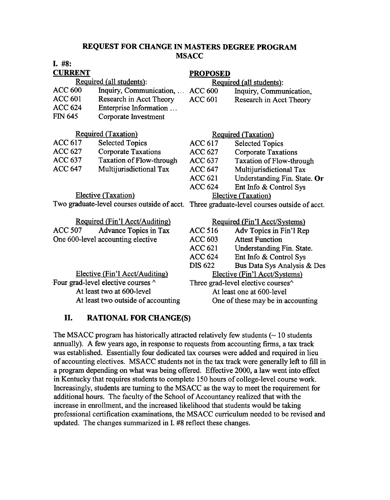### REQUEST FOR CHANGE IN MASTERS DEGREE PROGRAM MSACC

| I. #8:                                      |                                 |                                                |                                 |
|---------------------------------------------|---------------------------------|------------------------------------------------|---------------------------------|
| <b>CURRENT</b>                              |                                 | <b>PROPOSED</b>                                |                                 |
| Required (all students):                    |                                 | Required (all students):                       |                                 |
| <b>ACC 600</b>                              | Inquiry, Communication,         | <b>ACC 600</b>                                 | Inquiry, Communication,         |
| <b>ACC 601</b>                              | Research in Acct Theory         | <b>ACC 601</b>                                 | Research in Acct Theory         |
| <b>ACC 624</b>                              | Enterprise Information          |                                                |                                 |
| <b>FIN 645</b>                              | Corporate Investment            |                                                |                                 |
|                                             |                                 |                                                |                                 |
| <b>Required (Taxation)</b>                  |                                 | <b>Required (Taxation)</b>                     |                                 |
| <b>ACC 617</b>                              | <b>Selected Topics</b>          | <b>ACC 617</b>                                 | <b>Selected Topics</b>          |
| <b>ACC 627</b>                              | <b>Corporate Taxations</b>      | <b>ACC 627</b>                                 | <b>Corporate Taxations</b>      |
| <b>ACC 637</b>                              | <b>Taxation of Flow-through</b> | <b>ACC 637</b>                                 | <b>Taxation of Flow-through</b> |
| <b>ACC 647</b>                              | Multijurisdictional Tax         | <b>ACC 647</b>                                 | Multijurisdictional Tax         |
|                                             |                                 | <b>ACC 621</b>                                 | Understanding Fin. State. Or    |
|                                             |                                 | <b>ACC 624</b>                                 | Ent Info & Control Sys          |
| Elective (Taxation)                         |                                 | Elective (Taxation)                            |                                 |
| Two graduate-level courses outside of acct. |                                 | Three graduate-level courses outside of acct.  |                                 |
|                                             |                                 |                                                |                                 |
| Required (Fin'l Acct/Auditing)              |                                 | Required (Fin'l Acct/Systems)                  |                                 |
| <b>ACC 507</b>                              | Advance Topics in Tax           | ACC 516                                        | Adv Topics in Fin'l Rep         |
| One 600-level accounting elective           |                                 | <b>ACC 603</b>                                 | <b>Attest Function</b>          |
|                                             |                                 | <b>ACC 621</b>                                 | Understanding Fin. State.       |
|                                             |                                 | <b>ACC 624</b>                                 | Ent Info & Control Sys          |
|                                             |                                 | <b>DIS 622</b>                                 | Bus Data Sys Analysis & Des     |
| Elective (Fin'l Acct/Auditing)              |                                 | Elective (Fin'l Acct/Systems)                  |                                 |
| Four grad-level elective courses ^          |                                 | Three grad-level elective courses <sup>^</sup> |                                 |
| At least two at 600-level                   |                                 | At least one at 600-level                      |                                 |
| At least two outside of accounting          |                                 | One of these may be in accounting              |                                 |

# II. RATIONAL FOR CHANGE(S)

The MSACC program has historically attracted relatively few students  $($   $\sim$  10 students annually). A few years ago, in response to requests from accounting firms, a tax track was established. Essentially four dedicated tax courses were added and required in lieu of accounting electives. MSACC students not in the tax track were generally left to fill in a program depending on what was being offered. Effective 2000, a law went into effect in Kentucky that requires students to complete 150 hours of college-level course work. Increasingly, students are turning to the MSACC as the way to meet the requirement for additional hours. The faculty of the School of Accountancy realized that with the increase in enrollment, and the increased likelihood that students would be taking professional certification examinations, the MSACC curriculum needed to be revised and updated. The changes summarized in I. #8 reflect these changes.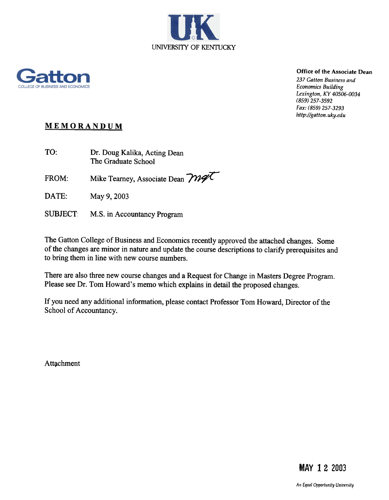



# Office of the Associate Dean

237 Gatton Business and Economics Building Lexington, KY 40506-0034 (859) 257-3592 Fax: (859) 257-3293 http://gatton.uky.edu

# MEMORANDUM

TO: Dr. Doug Kalika, Acting Dean The Graduate School

FROM: Mike Tearney, Associate Dean  $\mathcal{W}\llbracket \mathcal{W}\llbracket$ 

DATE: May 9, 2003

SUBJECT: M.S. in Accountancy Program

The Gatton College of Business and Economics recently approved the attached changes. Some of the changes are minor in nature and update the course descriptions to clarify prerequisites and to bring them in line with new course numbers.

There are also three new course changes and a Request for Change in Masters Degree Program. Please see Dr. Tom Howard's memo which explains in detail the proposed changes.

If you need any additional information, please contact Professor Tom Howard, Director of the School of Accountancy.

Attachment

**MAY 12 2003**